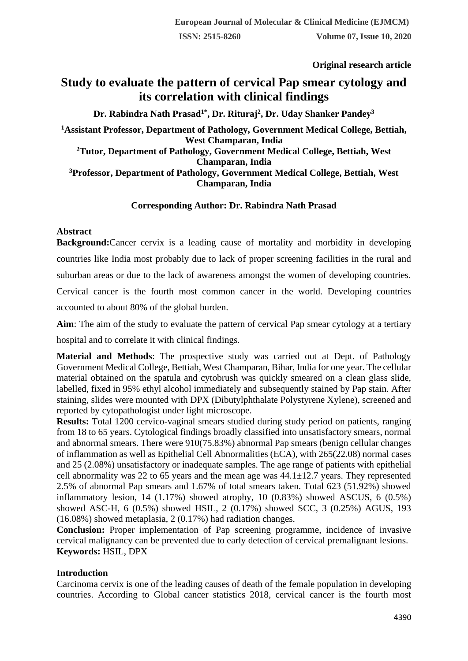**Original research article** 

# **Study to evaluate the pattern of cervical Pap smear cytology and its correlation with clinical findings**

**Dr. Rabindra Nath Prasad1\* , Dr. Rituraj<sup>2</sup> , Dr. Uday Shanker Pandey<sup>3</sup>**

**<sup>1</sup>Assistant Professor, Department of Pathology, Government Medical College, Bettiah, West Champaran, India**

**<sup>2</sup>Tutor, Department of Pathology, Government Medical College, Bettiah, West Champaran, India**

**<sup>3</sup>Professor, Department of Pathology, Government Medical College, Bettiah, West Champaran, India**

# **Corresponding Author: Dr. Rabindra Nath Prasad**

### **Abstract**

**Background:**Cancer cervix is a leading cause of mortality and morbidity in developing countries like India most probably due to lack of proper screening facilities in the rural and suburban areas or due to the lack of awareness amongst the women of developing countries. Cervical cancer is the fourth most common cancer in the world. Developing countries accounted to about 80% of the global burden.

**Aim**: The aim of the study to evaluate the pattern of cervical Pap smear cytology at a tertiary hospital and to correlate it with clinical findings.

**Material and Methods**: The prospective study was carried out at Dept. of Pathology Government Medical College, Bettiah, West Champaran, Bihar, India for one year. The cellular material obtained on the spatula and cytobrush was quickly smeared on a clean glass slide, labelled, fixed in 95% ethyl alcohol immediately and subsequently stained by Pap stain. After staining, slides were mounted with DPX (Dibutylphthalate Polystyrene Xylene), screened and reported by cytopathologist under light microscope.

**Results:** Total 1200 cervico-vaginal smears studied during study period on patients, ranging from 18 to 65 years. Cytological findings broadly classified into unsatisfactory smears, normal and abnormal smears. There were 910(75.83%) abnormal Pap smears (benign cellular changes of inflammation as well as Epithelial Cell Abnormalities (ECA), with 265(22.08) normal cases and 25 (2.08%) unsatisfactory or inadequate samples. The age range of patients with epithelial cell abnormality was 22 to 65 years and the mean age was  $44.1 \pm 12.7$  years. They represented 2.5% of abnormal Pap smears and 1.67% of total smears taken. Total 623 (51.92%) showed inflammatory lesion,  $14$   $(1.17%)$  showed atrophy,  $10$   $(0.83%)$  showed ASCUS,  $6$   $(0.5%)$ showed ASC-H, 6 (0.5%) showed HSIL, 2 (0.17%) showed SCC, 3 (0.25%) AGUS, 193 (16.08%) showed metaplasia, 2 (0.17%) had radiation changes.

**Conclusion:** Proper implementation of Pap screening programme, incidence of invasive cervical malignancy can be prevented due to early detection of cervical premalignant lesions. **Keywords:** HSIL, DPX

# **Introduction**

Carcinoma cervix is one of the leading causes of death of the female population in developing countries. According to Global cancer statistics 2018, cervical cancer is the fourth most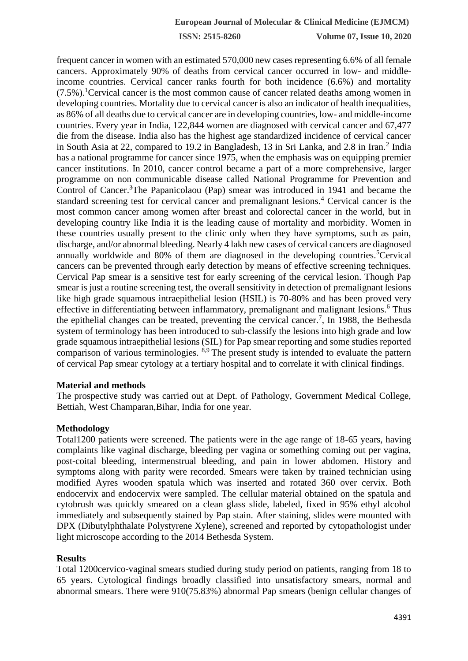**ISSN: 2515-8260 Volume 07, Issue 10, 2020**

frequent cancer in women with an estimated 570,000 new cases representing 6.6% of all female cancers. Approximately 90% of deaths from cervical cancer occurred in low- and middleincome countries. Cervical cancer ranks fourth for both incidence (6.6%) and mortality  $(7.5\%)$ <sup>1</sup>Cervical cancer is the most common cause of cancer related deaths among women in developing countries. Mortality due to cervical cancer is also an indicator of health inequalities, as 86% of all deaths due to cervical cancer are in developing countries, low- and middle-income countries. Every year in India, 122,844 women are diagnosed with cervical cancer and 67,477 die from the disease. India also has the highest age standardized incidence of cervical cancer in South Asia at 22, compared to 19.2 in Bangladesh, 13 in Sri Lanka, and 2.8 in Iran.<sup>2</sup> India has a national programme for cancer since 1975, when the emphasis was on equipping premier cancer institutions. In 2010, cancer control became a part of a more comprehensive, larger programme on non communicable disease called National Programme for Prevention and Control of Cancer.<sup>3</sup>The Papanicolaou (Pap) smear was introduced in 1941 and became the standard screening test for cervical cancer and premalignant lesions.<sup>4</sup> Cervical cancer is the most common cancer among women after breast and colorectal cancer in the world, but in developing country like India it is the leading cause of mortality and morbidity. Women in these countries usually present to the clinic only when they have symptoms, such as pain, discharge, and/or abnormal bleeding. Nearly 4 lakh new cases of cervical cancers are diagnosed annually worldwide and 80% of them are diagnosed in the developing countries.<sup>5</sup>Cervical cancers can be prevented through early detection by means of effective screening techniques. Cervical Pap smear is a sensitive test for early screening of the cervical lesion. Though Pap smear is just a routine screening test, the overall sensitivity in detection of premalignant lesions like high grade squamous intraepithelial lesion (HSIL) is 70-80% and has been proved very effective in differentiating between inflammatory, premalignant and malignant lesions.<sup>6</sup> Thus the epithelial changes can be treated, preventing the cervical cancer.<sup>7</sup>, In 1988, the Bethesda system of terminology has been introduced to sub-classify the lesions into high grade and low grade squamous intraepithelial lesions (SIL) for Pap smear reporting and some studies reported comparison of various terminologies.  $8.9$  The present study is intended to evaluate the pattern of cervical Pap smear cytology at a tertiary hospital and to correlate it with clinical findings.

#### **Material and methods**

The prospective study was carried out at Dept. of Pathology, Government Medical College, Bettiah, West Champaran,Bihar, India for one year.

### **Methodology**

Total1200 patients were screened. The patients were in the age range of 18-65 years, having complaints like vaginal discharge, bleeding per vagina or something coming out per vagina, post-coital bleeding, intermenstrual bleeding, and pain in lower abdomen. History and symptoms along with parity were recorded. Smears were taken by trained technician using modified Ayres wooden spatula which was inserted and rotated 360 over cervix. Both endocervix and endocervix were sampled. The cellular material obtained on the spatula and cytobrush was quickly smeared on a clean glass slide, labeled, fixed in 95% ethyl alcohol immediately and subsequently stained by Pap stain. After staining, slides were mounted with DPX (Dibutylphthalate Polystyrene Xylene), screened and reported by cytopathologist under light microscope according to the 2014 Bethesda System.

#### **Results**

Total 1200cervico-vaginal smears studied during study period on patients, ranging from 18 to 65 years. Cytological findings broadly classified into unsatisfactory smears, normal and abnormal smears. There were 910(75.83%) abnormal Pap smears (benign cellular changes of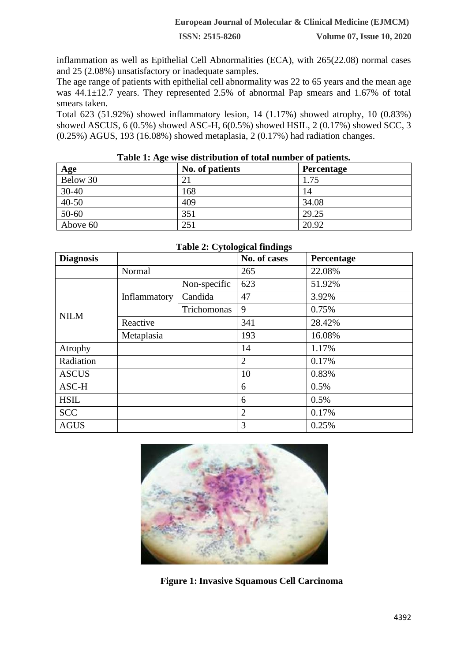**ISSN: 2515-8260 Volume 07, Issue 10, 2020**

inflammation as well as Epithelial Cell Abnormalities (ECA), with 265(22.08) normal cases and 25 (2.08%) unsatisfactory or inadequate samples.

The age range of patients with epithelial cell abnormality was 22 to 65 years and the mean age was 44.1±12.7 years. They represented 2.5% of abnormal Pap smears and 1.67% of total smears taken.

Total 623 (51.92%) showed inflammatory lesion, 14 (1.17%) showed atrophy, 10 (0.83%) showed ASCUS, 6 (0.5%) showed ASC-H, 6(0.5%) showed HSIL, 2 (0.17%) showed SCC, 3 (0.25%) AGUS, 193 (16.08%) showed metaplasia, 2 (0.17%) had radiation changes.

| Age       | No. of patients | <b>Percentage</b> |
|-----------|-----------------|-------------------|
| Below 30  |                 | 1.75              |
| $30 - 40$ | 168             | 14                |
| $40-50$   | 409             | 34.08             |
| $50-60$   | 351             | 29.25             |
| Above 60  | 251             | 20.92             |

#### **Table 1: Age wise distribution of total number of patients.**

| <b>Diagnosis</b> |              |              | No. of cases   | Percentage |
|------------------|--------------|--------------|----------------|------------|
|                  | Normal       |              | 265            | 22.08%     |
| <b>NILM</b>      |              | Non-specific | 623            | 51.92%     |
|                  | Inflammatory | Candida      | 47             | 3.92%      |
|                  |              | Trichomonas  | 9              | 0.75%      |
|                  | Reactive     |              | 341            | 28.42%     |
|                  | Metaplasia   |              | 193            | 16.08%     |
| Atrophy          |              |              | 14             | 1.17%      |
| Radiation        |              |              | $\overline{2}$ | 0.17%      |
| <b>ASCUS</b>     |              |              | 10             | 0.83%      |
| ASC-H            |              |              | 6              | 0.5%       |
| <b>HSIL</b>      |              |              | 6              | 0.5%       |
| <b>SCC</b>       |              |              | $\overline{2}$ | 0.17%      |
| <b>AGUS</b>      |              |              | 3              | 0.25%      |

### **Table 2: Cytological findings**



 **Figure 1: Invasive Squamous Cell Carcinoma**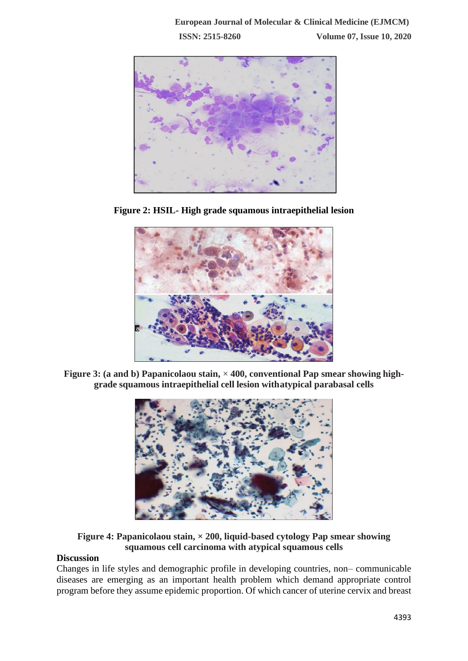

**Figure 2: HSIL- High grade squamous intraepithelial lesion**



**Figure 3: (a and b) Papanicolaou stain,** × **400, conventional Pap smear showing highgrade squamous intraepithelial cell lesion withatypical parabasal cells**



# **Figure 4: Papanicolaou stain, × 200, liquid-based cytology Pap smear showing squamous cell carcinoma with atypical squamous cells**

# **Discussion**

Changes in life styles and demographic profile in developing countries, non– communicable diseases are emerging as an important health problem which demand appropriate control program before they assume epidemic proportion. Of which cancer of uterine cervix and breast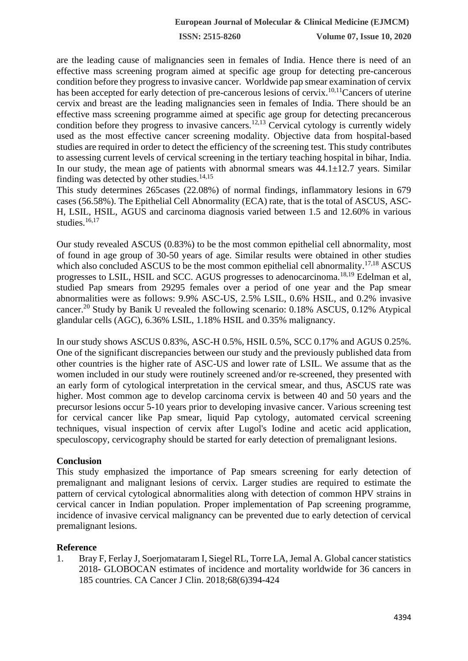**ISSN: 2515-8260 Volume 07, Issue 10, 2020**

are the leading cause of malignancies seen in females of India. Hence there is need of an effective mass screening program aimed at specific age group for detecting pre-cancerous condition before they progress to invasive cancer. Worldwide pap smear examination of cervix has been accepted for early detection of pre-cancerous lesions of cervix.<sup>10,11</sup>Cancers of uterine cervix and breast are the leading malignancies seen in females of India. There should be an effective mass screening programme aimed at specific age group for detecting precancerous condition before they progress to invasive cancers.<sup>12,13</sup> Cervical cytology is currently widely used as the most effective cancer screening modality. Objective data from hospital-based studies are required in order to detect the efficiency of the screening test. This study contributes to assessing current levels of cervical screening in the tertiary teaching hospital in bihar, India. In our study, the mean age of patients with abnormal smears was  $44.1 \pm 12.7$  years. Similar finding was detected by other studies.<sup>14,15</sup>

This study determines 265cases (22.08%) of normal findings, inflammatory lesions in 679 cases (56.58%). The Epithelial Cell Abnormality (ECA) rate, that is the total of ASCUS, ASC-H, LSIL, HSIL, AGUS and carcinoma diagnosis varied between 1.5 and 12.60% in various studies.<sup>16,17</sup>

Our study revealed ASCUS (0.83%) to be the most common epithelial cell abnormality, most of found in age group of 30-50 years of age. Similar results were obtained in other studies which also concluded ASCUS to be the most common epithelial cell abnormality.<sup>17,18</sup> ASCUS progresses to LSIL, HSIL and SCC. AGUS progresses to adenocarcinoma.18,19 Edelman et al, studied Pap smears from 29295 females over a period of one year and the Pap smear abnormalities were as follows: 9.9% ASC-US, 2.5% LSIL, 0.6% HSIL, and 0.2% invasive cancer.<sup>20</sup> Study by Banik U revealed the following scenario:  $0.18\%$  ASCUS,  $0.12\%$  Atypical glandular cells (AGC), 6.36% LSIL, 1.18% HSIL and 0.35% malignancy.

In our study shows ASCUS 0.83%, ASC-H 0.5%, HSIL 0.5%, SCC 0.17% and AGUS 0.25%. One of the significant discrepancies between our study and the previously published data from other countries is the higher rate of ASC-US and lower rate of LSIL. We assume that as the women included in our study were routinely screened and/or re-screened, they presented with an early form of cytological interpretation in the cervical smear, and thus, ASCUS rate was higher. Most common age to develop carcinoma cervix is between 40 and 50 years and the precursor lesions occur 5-10 years prior to developing invasive cancer. Various screening test for cervical cancer like Pap smear, liquid Pap cytology, automated cervical screening techniques, visual inspection of cervix after Lugol's Iodine and acetic acid application, speculoscopy, cervicography should be started for early detection of premalignant lesions.

#### **Conclusion**

This study emphasized the importance of Pap smears screening for early detection of premalignant and malignant lesions of cervix. Larger studies are required to estimate the pattern of cervical cytological abnormalities along with detection of common HPV strains in cervical cancer in Indian population. Proper implementation of Pap screening programme, incidence of invasive cervical malignancy can be prevented due to early detection of cervical premalignant lesions.

### **Reference**

1. Bray F, Ferlay J, Soerjomataram I, Siegel RL, Torre LA, Jemal A. Global cancer statistics 2018- GLOBOCAN estimates of incidence and mortality worldwide for 36 cancers in 185 countries. CA Cancer J Clin. 2018;68(6)394-424